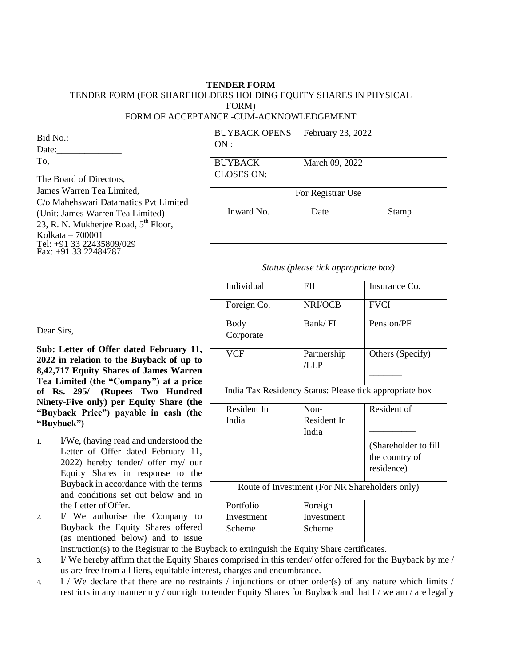## **TENDER FORM**  TENDER FORM (FOR SHAREHOLDERS HOLDING EQUITY SHARES IN PHYSICAL FORM) FORM OF ACCEPTANCE -CUM-ACKNOWLEDGEMENT

Bid No.: Date: To, The Board of Directors, James Warren Tea Limited, C/o Mahehswari Datamatics Pvt Limited (Unit: James Warren Tea Limited) 23, R. N. Mukherjee Road, 5<sup>th</sup> Floor, Kolkata – 700001 Tel: +91 33 22435809/029

Fax: +91 33 22484787

Dear Sirs,

**Sub: Letter of Offer dated February 11, 2022 in relation to the Buyback of up to 8,42,717 Equity Shares of James Warren Tea Limited (the "Company") at a price of Rs. 295/- (Rupees Two Hundred Ninety-Five only) per Equity Share (the "Buyback Price") payable in cash (the "Buyback")**

1. I/We, (having read and understood the Letter of Offer dated February 11, 2022) hereby tender/ offer my/ our Equity Shares in response to the Buyback in accordance with the terms and conditions set out below and in the Letter of Offer.

2. I/ We authorise the Company to Buyback the Equity Shares offered (as mentioned below) and to issue

| <b>BUYBACK OPENS</b><br>ON:                             |                                      | February 23, 2022                                                   |  |  |  |
|---------------------------------------------------------|--------------------------------------|---------------------------------------------------------------------|--|--|--|
| <b>BUYBACK</b><br>March 09, 2022<br><b>CLOSES ON:</b>   |                                      |                                                                     |  |  |  |
|                                                         | For Registrar Use                    |                                                                     |  |  |  |
| Inward No.                                              | Date                                 | Stamp                                                               |  |  |  |
|                                                         |                                      |                                                                     |  |  |  |
|                                                         | Status (please tick appropriate box) |                                                                     |  |  |  |
| Individual                                              | <b>FII</b>                           | Insurance Co.                                                       |  |  |  |
| Foreign Co.                                             | NRI/OCB                              | <b>FVCI</b>                                                         |  |  |  |
| <b>Body</b><br>Corporate                                | Bank/FI                              | Pension/PF                                                          |  |  |  |
| <b>VCF</b>                                              | Partnership<br>/LLP                  | Others (Specify)                                                    |  |  |  |
| India Tax Residency Status: Please tick appropriate box |                                      |                                                                     |  |  |  |
| Resident In<br>India                                    | Non-<br>Resident In<br>India         | Resident of<br>(Shareholder to fill<br>the country of<br>residence) |  |  |  |
| Route of Investment (For NR Shareholders only)          |                                      |                                                                     |  |  |  |
| Portfolio<br>Investment<br>Scheme                       | Foreign<br>Investment<br>Scheme      |                                                                     |  |  |  |

instruction(s) to the Registrar to the Buyback to extinguish the Equity Share certificates.

3. I/ We hereby affirm that the Equity Shares comprised in this tender/ offer offered for the Buyback by me / us are free from all liens, equitable interest, charges and encumbrance.

4. I / We declare that there are no restraints / injunctions or other order(s) of any nature which limits / restricts in any manner my / our right to tender Equity Shares for Buyback and that I / we am / are legally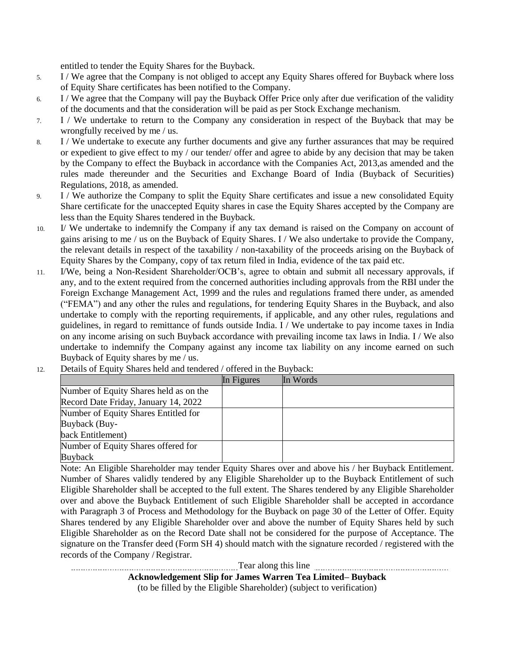entitled to tender the Equity Shares for the Buyback.

- 5. I / We agree that the Company is not obliged to accept any Equity Shares offered for Buyback where loss of Equity Share certificates has been notified to the Company.
- 6. I / We agree that the Company will pay the Buyback Offer Price only after due verification of the validity of the documents and that the consideration will be paid as per Stock Exchange mechanism.
- 7. I / We undertake to return to the Company any consideration in respect of the Buyback that may be wrongfully received by me / us.
- 8. I / We undertake to execute any further documents and give any further assurances that may be required or expedient to give effect to my / our tender/ offer and agree to abide by any decision that may be taken by the Company to effect the Buyback in accordance with the Companies Act, 2013,as amended and the rules made thereunder and the Securities and Exchange Board of India (Buyback of Securities) Regulations, 2018, as amended.
- 9. I / We authorize the Company to split the Equity Share certificates and issue a new consolidated Equity Share certificate for the unaccepted Equity shares in case the Equity Shares accepted by the Company are less than the Equity Shares tendered in the Buyback.
- 10. I/ We undertake to indemnify the Company if any tax demand is raised on the Company on account of gains arising to me / us on the Buyback of Equity Shares. I / We also undertake to provide the Company, the relevant details in respect of the taxability / non-taxability of the proceeds arising on the Buyback of Equity Shares by the Company, copy of tax return filed in India, evidence of the tax paid etc.
- 11. I/We, being a Non-Resident Shareholder/OCB's, agree to obtain and submit all necessary approvals, if any, and to the extent required from the concerned authorities including approvals from the RBI under the Foreign Exchange Management Act, 1999 and the rules and regulations framed there under, as amended ("FEMA") and any other the rules and regulations, for tendering Equity Shares in the Buyback, and also undertake to comply with the reporting requirements, if applicable, and any other rules, regulations and guidelines, in regard to remittance of funds outside India. I / We undertake to pay income taxes in India on any income arising on such Buyback accordance with prevailing income tax laws in India. I / We also undertake to indemnify the Company against any income tax liability on any income earned on such Buyback of Equity shares by me / us.
- 12. Details of Equity Shares held and tendered / offered in the Buyback:

|                                        | In Figures | In Words |
|----------------------------------------|------------|----------|
| Number of Equity Shares held as on the |            |          |
| Record Date Friday, January 14, 2022   |            |          |
| Number of Equity Shares Entitled for   |            |          |
| Buyback (Buy-                          |            |          |
| back Entitlement)                      |            |          |
| Number of Equity Shares offered for    |            |          |
| <b>Buyback</b>                         |            |          |

Note: An Eligible Shareholder may tender Equity Shares over and above his / her Buyback Entitlement. Number of Shares validly tendered by any Eligible Shareholder up to the Buyback Entitlement of such Eligible Shareholder shall be accepted to the full extent. The Shares tendered by any Eligible Shareholder over and above the Buyback Entitlement of such Eligible Shareholder shall be accepted in accordance with Paragraph 3 of Process and Methodology for the Buyback on page 30 of the Letter of Offer. Equity Shares tendered by any Eligible Shareholder over and above the number of Equity Shares held by such Eligible Shareholder as on the Record Date shall not be considered for the purpose of Acceptance. The signature on the Transfer deed (Form SH 4) should match with the signature recorded / registered with the records of the Company /Registrar.

Tear along this line

**Acknowledgement Slip for James Warren Tea Limited– Buyback**

(to be filled by the Eligible Shareholder) (subject to verification)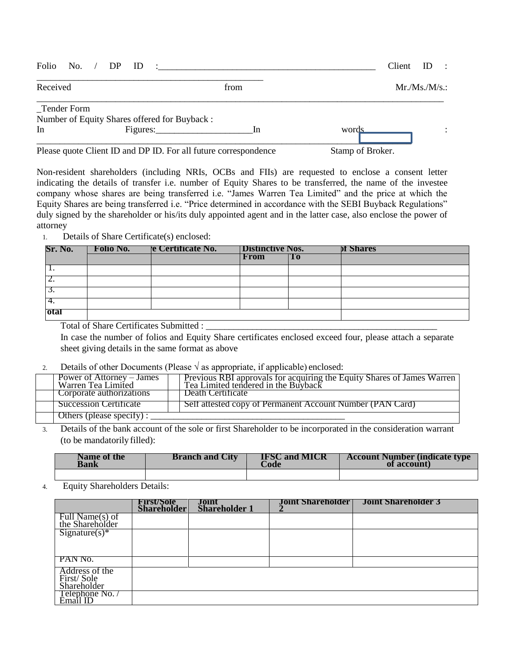| Folio No. / DP ID |                                                                 | <u>in the communication of the communication of the communication of the communication of the communication of the communication of the communication of the communication of the communication of the communication of the comm</u> | Client ID        | $\sim$ 10 |
|-------------------|-----------------------------------------------------------------|--------------------------------------------------------------------------------------------------------------------------------------------------------------------------------------------------------------------------------------|------------------|-----------|
| Received          |                                                                 | from                                                                                                                                                                                                                                 | Mr.Ms.M/s.       |           |
| _Tender Form      | Number of Equity Shares offered for Buyback:                    |                                                                                                                                                                                                                                      |                  |           |
| In                | Figures: Figures:                                               | -In                                                                                                                                                                                                                                  | words            |           |
|                   | Please quote Client ID and DP ID. For all future correspondence |                                                                                                                                                                                                                                      | Stamp of Broker. |           |

Non-resident shareholders (including NRIs, OCBs and FIIs) are requested to enclose a consent letter indicating the details of transfer i.e. number of Equity Shares to be transferred, the name of the investee company whose shares are being transferred i.e. "James Warren Tea Limited" and the price at which the Equity Shares are being transferred i.e. "Price determined in accordance with the SEBI Buyback Regulations" duly signed by the shareholder or his/its duly appointed agent and in the latter case, also enclose the power of attorney

## 1. Details of Share Certificate(s) enclosed:

| Sr. No.  | <b>Distinctive Nos.</b><br>re Certificate No.<br><b>Folio No.</b> |  |      | <b>DI Shares</b> |  |
|----------|-------------------------------------------------------------------|--|------|------------------|--|
|          |                                                                   |  | From | Тo               |  |
| . .      |                                                                   |  |      |                  |  |
| <u>.</u> |                                                                   |  |      |                  |  |
| J.       |                                                                   |  |      |                  |  |
| 4.       |                                                                   |  |      |                  |  |
| 'otal    |                                                                   |  |      |                  |  |

Total of Share Certificates Submitted :

In case the number of folios and Equity Share certificates enclosed exceed four, please attach a separate sheet giving details in the same format as above

## 2. Details of other Documents (Please  $\sqrt{ }$  as appropriate, if applicable) enclosed:

| Power of Attorney – James<br>Warren Tea Limited | Previous RBI approvals for acquiring the Equity Shares of James Warren<br>Tea Limited tendered in the Buyback |  |  |  |
|-------------------------------------------------|---------------------------------------------------------------------------------------------------------------|--|--|--|
| Corporate authorizations                        | Death Certificate                                                                                             |  |  |  |
| Succession Certificate                          | Self attested copy of Permanent Account Number (PAN Card)                                                     |  |  |  |
| Others (please specify):                        |                                                                                                               |  |  |  |

3. Details of the bank account of the sole or first Shareholder to be incorporated in the consideration warrant (to be mandatorily filled):

| Name of the | <b>Branch and City</b> | <b>IFSC and MICR</b> | <b>Account Number (indicate type)</b> |
|-------------|------------------------|----------------------|---------------------------------------|
| Bank        |                        | Code                 | of account)                           |
|             |                        |                      |                                       |

4. Equity Shareholders Details:

|                                             | <b>First/Sole</b><br>Shareholder | Joint<br>Shareholder 1 | <b>Joint Shareholder</b>   Joint Shareholder 3 |
|---------------------------------------------|----------------------------------|------------------------|------------------------------------------------|
| Full Name(s) of<br>the Shareholder          |                                  |                        |                                                |
| $Sigma(x)*$                                 |                                  |                        |                                                |
|                                             |                                  |                        |                                                |
| PAN No.                                     |                                  |                        |                                                |
| Address of the<br>First/Sole<br>Shareholder |                                  |                        |                                                |
| Telephone No.<br>Email ID                   |                                  |                        |                                                |